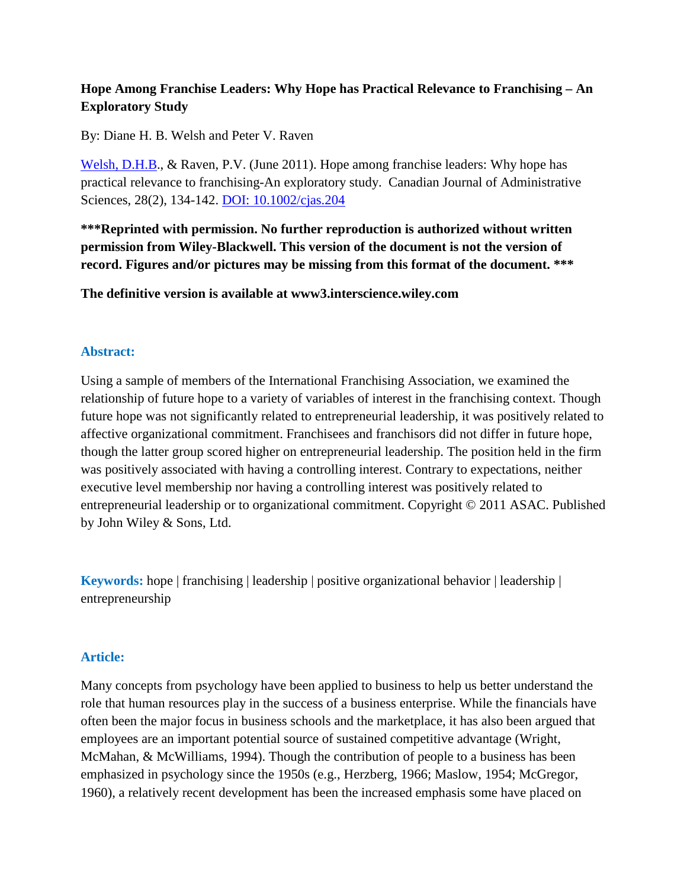# **Hope Among Franchise Leaders: Why Hope has Practical Relevance to Franchising – An Exploratory Study**

By: Diane H. B. Welsh and Peter V. Raven

[Welsh, D.H.B.](http://libres.uncg.edu/ir/uncg/clist.aspx?id=1948), & Raven, P.V. (June 2011). Hope among franchise leaders: Why hope has practical relevance to franchising-An exploratory study. Canadian Journal of Administrative Sciences, 28(2), 134-142. [DOI: 10.1002/cjas.204](http://onlinelibrary.wiley.com/doi/10.1002/cjas.204/full)

**\*\*\*Reprinted with permission. No further reproduction is authorized without written permission from Wiley-Blackwell. This version of the document is not the version of record. Figures and/or pictures may be missing from this format of the document. \*\*\***

**The definitive version is available at www3.interscience.wiley.com**

# **Abstract:**

Using a sample of members of the International Franchising Association, we examined the relationship of future hope to a variety of variables of interest in the franchising context. Though future hope was not significantly related to entrepreneurial leadership, it was positively related to affective organizational commitment. Franchisees and franchisors did not differ in future hope, though the latter group scored higher on entrepreneurial leadership. The position held in the firm was positively associated with having a controlling interest. Contrary to expectations, neither executive level membership nor having a controlling interest was positively related to entrepreneurial leadership or to organizational commitment. Copyright © 2011 ASAC. Published by John Wiley & Sons, Ltd.

**Keywords:** hope | franchising | leadership | positive organizational behavior | leadership | entrepreneurship

# **Article:**

Many concepts from psychology have been applied to business to help us better understand the role that human resources play in the success of a business enterprise. While the financials have often been the major focus in business schools and the marketplace, it has also been argued that employees are an important potential source of sustained competitive advantage (Wright, McMahan, & McWilliams, 1994). Though the contribution of people to a business has been emphasized in psychology since the 1950s (e.g., Herzberg, 1966; Maslow, 1954; McGregor, 1960), a relatively recent development has been the increased emphasis some have placed on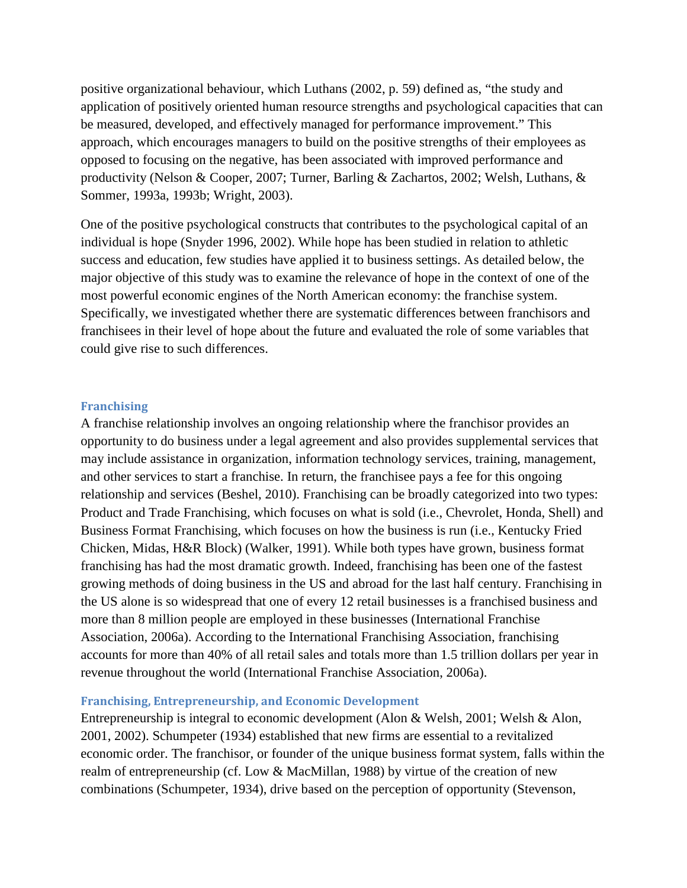positive organizational behaviour, which Luthans (2002, p. 59) defined as, "the study and application of positively oriented human resource strengths and psychological capacities that can be measured, developed, and effectively managed for performance improvement." This approach, which encourages managers to build on the positive strengths of their employees as opposed to focusing on the negative, has been associated with improved performance and productivity (Nelson & Cooper, 2007; Turner, Barling & Zachartos, 2002; Welsh, Luthans, & Sommer, 1993a, 1993b; Wright, 2003).

One of the positive psychological constructs that contributes to the psychological capital of an individual is hope (Snyder 1996, 2002). While hope has been studied in relation to athletic success and education, few studies have applied it to business settings. As detailed below, the major objective of this study was to examine the relevance of hope in the context of one of the most powerful economic engines of the North American economy: the franchise system. Specifically, we investigated whether there are systematic differences between franchisors and franchisees in their level of hope about the future and evaluated the role of some variables that could give rise to such differences.

### **Franchising**

A franchise relationship involves an ongoing relationship where the franchisor provides an opportunity to do business under a legal agreement and also provides supplemental services that may include assistance in organization, information technology services, training, management, and other services to start a franchise. In return, the franchisee pays a fee for this ongoing relationship and services (Beshel, 2010). Franchising can be broadly categorized into two types: Product and Trade Franchising, which focuses on what is sold (i.e., Chevrolet, Honda, Shell) and Business Format Franchising, which focuses on how the business is run (i.e., Kentucky Fried Chicken, Midas, H&R Block) (Walker, 1991). While both types have grown, business format franchising has had the most dramatic growth. Indeed, franchising has been one of the fastest growing methods of doing business in the US and abroad for the last half century. Franchising in the US alone is so widespread that one of every 12 retail businesses is a franchised business and more than 8 million people are employed in these businesses (International Franchise Association, 2006a). According to the International Franchising Association, franchising accounts for more than 40% of all retail sales and totals more than 1.5 trillion dollars per year in revenue throughout the world (International Franchise Association, 2006a).

#### **Franchising, Entrepreneurship, and Economic Development**

Entrepreneurship is integral to economic development (Alon & Welsh, 2001; Welsh & Alon, 2001, 2002). Schumpeter (1934) established that new firms are essential to a revitalized economic order. The franchisor, or founder of the unique business format system, falls within the realm of entrepreneurship (cf. Low & MacMillan, 1988) by virtue of the creation of new combinations (Schumpeter, 1934), drive based on the perception of opportunity (Stevenson,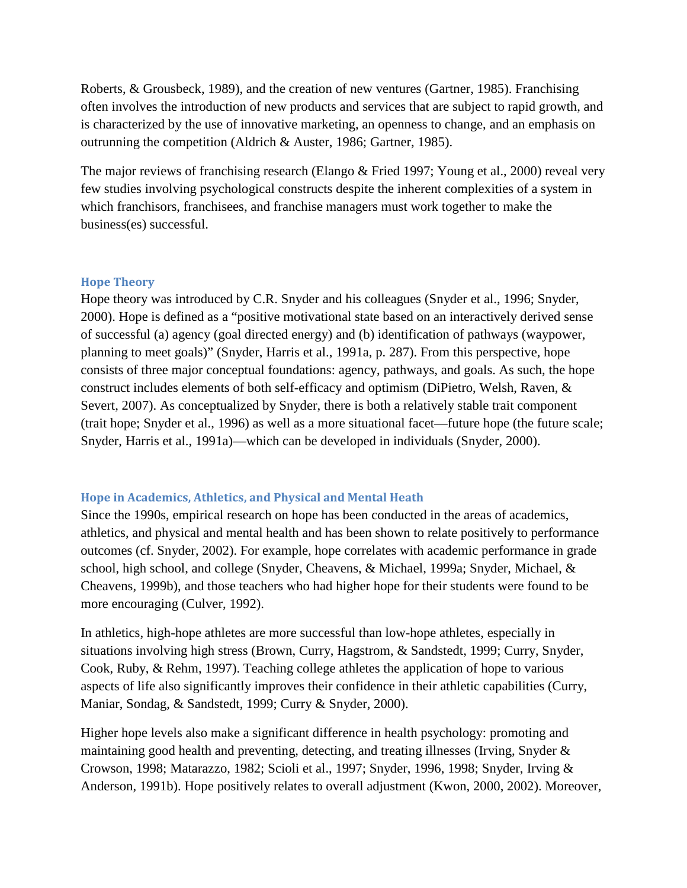Roberts, & Grousbeck, 1989), and the creation of new ventures (Gartner, 1985). Franchising often involves the introduction of new products and services that are subject to rapid growth, and is characterized by the use of innovative marketing, an openness to change, and an emphasis on outrunning the competition (Aldrich & Auster, 1986; Gartner, 1985).

The major reviews of franchising research (Elango & Fried 1997; Young et al., 2000) reveal very few studies involving psychological constructs despite the inherent complexities of a system in which franchisors, franchisees, and franchise managers must work together to make the business(es) successful.

## **Hope Theory**

Hope theory was introduced by C.R. Snyder and his colleagues (Snyder et al., 1996; Snyder, 2000). Hope is defined as a "positive motivational state based on an interactively derived sense of successful (a) agency (goal directed energy) and (b) identification of pathways (waypower, planning to meet goals)" (Snyder, Harris et al., 1991a, p. 287). From this perspective, hope consists of three major conceptual foundations: agency, pathways, and goals. As such, the hope construct includes elements of both self-efficacy and optimism (DiPietro, Welsh, Raven, & Severt, 2007). As conceptualized by Snyder, there is both a relatively stable trait component (trait hope; Snyder et al., 1996) as well as a more situational facet—future hope (the future scale; Snyder, Harris et al., 1991a)—which can be developed in individuals (Snyder, 2000).

### **Hope in Academics, Athletics, and Physical and Mental Heath**

Since the 1990s, empirical research on hope has been conducted in the areas of academics, athletics, and physical and mental health and has been shown to relate positively to performance outcomes (cf. Snyder, 2002). For example, hope correlates with academic performance in grade school, high school, and college (Snyder, Cheavens, & Michael, 1999a; Snyder, Michael, & Cheavens, 1999b), and those teachers who had higher hope for their students were found to be more encouraging (Culver, 1992).

In athletics, high-hope athletes are more successful than low-hope athletes, especially in situations involving high stress (Brown, Curry, Hagstrom, & Sandstedt, 1999; Curry, Snyder, Cook, Ruby, & Rehm, 1997). Teaching college athletes the application of hope to various aspects of life also significantly improves their confidence in their athletic capabilities (Curry, Maniar, Sondag, & Sandstedt, 1999; Curry & Snyder, 2000).

Higher hope levels also make a significant difference in health psychology: promoting and maintaining good health and preventing, detecting, and treating illnesses (Irving, Snyder & Crowson, 1998; Matarazzo, 1982; Scioli et al., 1997; Snyder, 1996, 1998; Snyder, Irving & Anderson, 1991b). Hope positively relates to overall adjustment (Kwon, 2000, 2002). Moreover,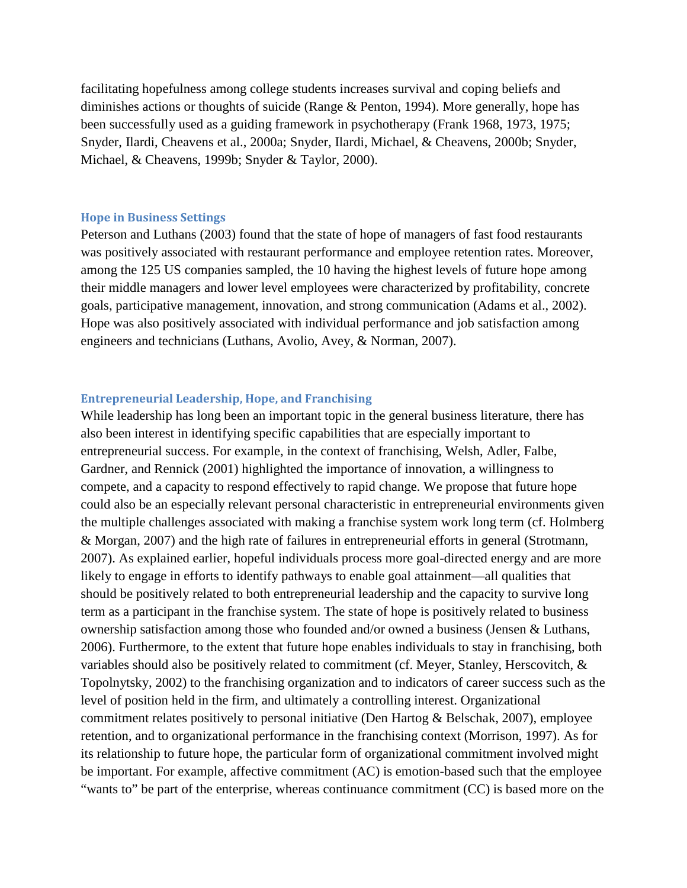facilitating hopefulness among college students increases survival and coping beliefs and diminishes actions or thoughts of suicide (Range & Penton, 1994). More generally, hope has been successfully used as a guiding framework in psychotherapy (Frank 1968, 1973, 1975; Snyder, Ilardi, Cheavens et al., 2000a; Snyder, Ilardi, Michael, & Cheavens, 2000b; Snyder, Michael, & Cheavens, 1999b; Snyder & Taylor, 2000).

### **Hope in Business Settings**

Peterson and Luthans (2003) found that the state of hope of managers of fast food restaurants was positively associated with restaurant performance and employee retention rates. Moreover, among the 125 US companies sampled, the 10 having the highest levels of future hope among their middle managers and lower level employees were characterized by profitability, concrete goals, participative management, innovation, and strong communication (Adams et al., 2002). Hope was also positively associated with individual performance and job satisfaction among engineers and technicians (Luthans, Avolio, Avey, & Norman, 2007).

# **Entrepreneurial Leadership, Hope, and Franchising**

While leadership has long been an important topic in the general business literature, there has also been interest in identifying specific capabilities that are especially important to entrepreneurial success. For example, in the context of franchising, Welsh, Adler, Falbe, Gardner, and Rennick (2001) highlighted the importance of innovation, a willingness to compete, and a capacity to respond effectively to rapid change. We propose that future hope could also be an especially relevant personal characteristic in entrepreneurial environments given the multiple challenges associated with making a franchise system work long term (cf. Holmberg & Morgan, 2007) and the high rate of failures in entrepreneurial efforts in general (Strotmann, 2007). As explained earlier, hopeful individuals process more goal-directed energy and are more likely to engage in efforts to identify pathways to enable goal attainment—all qualities that should be positively related to both entrepreneurial leadership and the capacity to survive long term as a participant in the franchise system. The state of hope is positively related to business ownership satisfaction among those who founded and/or owned a business (Jensen & Luthans, 2006). Furthermore, to the extent that future hope enables individuals to stay in franchising, both variables should also be positively related to commitment (cf. Meyer, Stanley, Herscovitch, & Topolnytsky, 2002) to the franchising organization and to indicators of career success such as the level of position held in the firm, and ultimately a controlling interest. Organizational commitment relates positively to personal initiative (Den Hartog & Belschak, 2007), employee retention, and to organizational performance in the franchising context (Morrison, 1997). As for its relationship to future hope, the particular form of organizational commitment involved might be important. For example, affective commitment (AC) is emotion-based such that the employee "wants to" be part of the enterprise, whereas continuance commitment (CC) is based more on the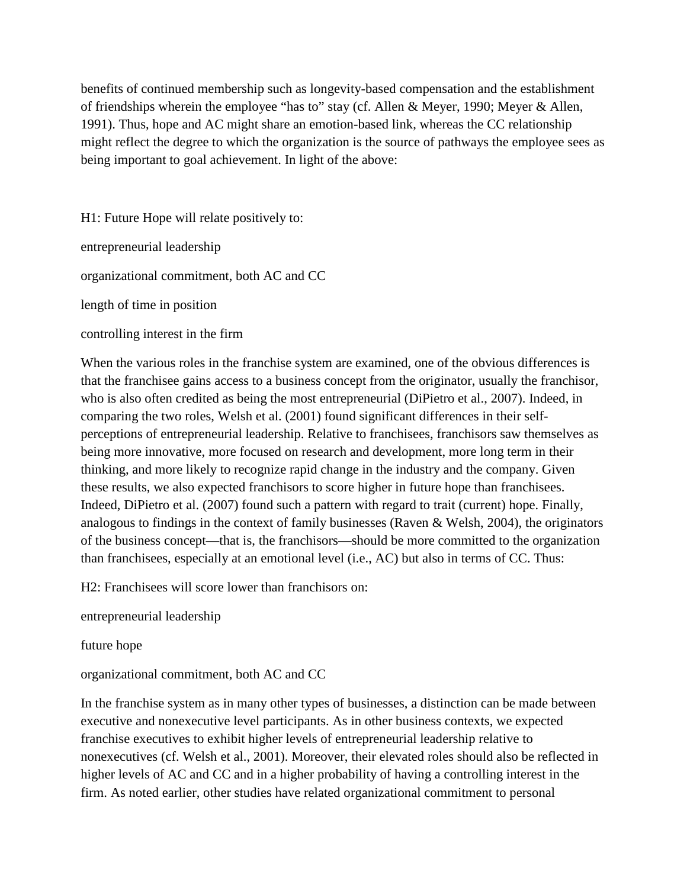benefits of continued membership such as longevity-based compensation and the establishment of friendships wherein the employee "has to" stay (cf. Allen & Meyer, 1990; Meyer & Allen, 1991). Thus, hope and AC might share an emotion-based link, whereas the CC relationship might reflect the degree to which the organization is the source of pathways the employee sees as being important to goal achievement. In light of the above:

H1: Future Hope will relate positively to:

entrepreneurial leadership

organizational commitment, both AC and CC

length of time in position

controlling interest in the firm

When the various roles in the franchise system are examined, one of the obvious differences is that the franchisee gains access to a business concept from the originator, usually the franchisor, who is also often credited as being the most entrepreneurial (DiPietro et al., 2007). Indeed, in comparing the two roles, Welsh et al. (2001) found significant differences in their selfperceptions of entrepreneurial leadership. Relative to franchisees, franchisors saw themselves as being more innovative, more focused on research and development, more long term in their thinking, and more likely to recognize rapid change in the industry and the company. Given these results, we also expected franchisors to score higher in future hope than franchisees. Indeed, DiPietro et al. (2007) found such a pattern with regard to trait (current) hope. Finally, analogous to findings in the context of family businesses (Raven & Welsh, 2004), the originators of the business concept—that is, the franchisors—should be more committed to the organization than franchisees, especially at an emotional level (i.e., AC) but also in terms of CC. Thus:

H2: Franchisees will score lower than franchisors on:

entrepreneurial leadership

future hope

organizational commitment, both AC and CC

In the franchise system as in many other types of businesses, a distinction can be made between executive and nonexecutive level participants. As in other business contexts, we expected franchise executives to exhibit higher levels of entrepreneurial leadership relative to nonexecutives (cf. Welsh et al., 2001). Moreover, their elevated roles should also be reflected in higher levels of AC and CC and in a higher probability of having a controlling interest in the firm. As noted earlier, other studies have related organizational commitment to personal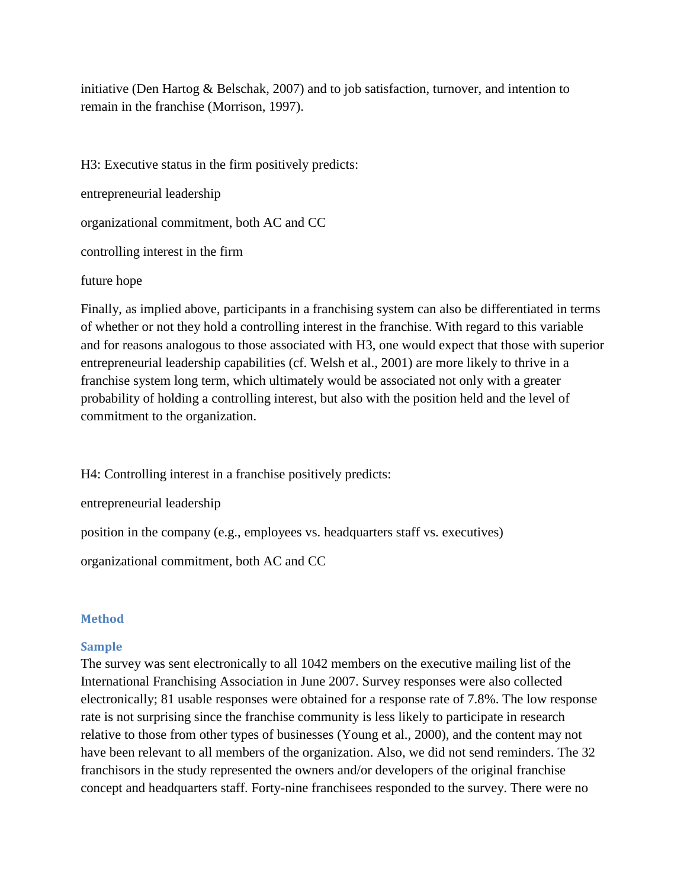initiative (Den Hartog & Belschak, 2007) and to job satisfaction, turnover, and intention to remain in the franchise (Morrison, 1997).

H3: Executive status in the firm positively predicts:

entrepreneurial leadership

organizational commitment, both AC and CC

controlling interest in the firm

future hope

Finally, as implied above, participants in a franchising system can also be differentiated in terms of whether or not they hold a controlling interest in the franchise. With regard to this variable and for reasons analogous to those associated with H3, one would expect that those with superior entrepreneurial leadership capabilities (cf. Welsh et al., 2001) are more likely to thrive in a franchise system long term, which ultimately would be associated not only with a greater probability of holding a controlling interest, but also with the position held and the level of commitment to the organization.

H4: Controlling interest in a franchise positively predicts:

entrepreneurial leadership

position in the company (e.g., employees vs. headquarters staff vs. executives)

organizational commitment, both AC and CC

## **Method**

## **Sample**

The survey was sent electronically to all 1042 members on the executive mailing list of the International Franchising Association in June 2007. Survey responses were also collected electronically; 81 usable responses were obtained for a response rate of 7.8%. The low response rate is not surprising since the franchise community is less likely to participate in research relative to those from other types of businesses (Young et al., 2000), and the content may not have been relevant to all members of the organization. Also, we did not send reminders. The 32 franchisors in the study represented the owners and/or developers of the original franchise concept and headquarters staff. Forty-nine franchisees responded to the survey. There were no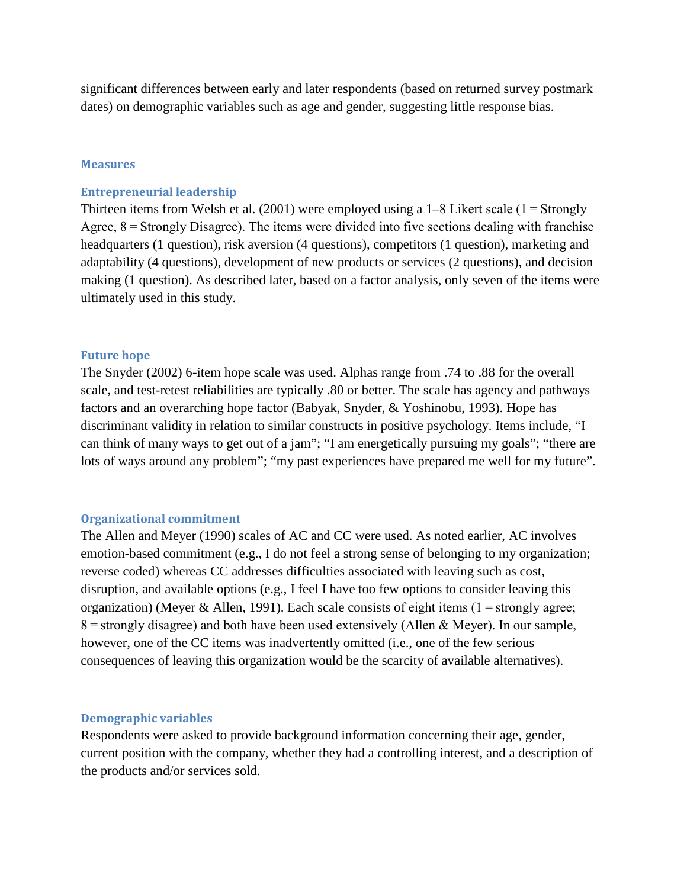significant differences between early and later respondents (based on returned survey postmark dates) on demographic variables such as age and gender, suggesting little response bias.

#### **Measures**

### **Entrepreneurial leadership**

Thirteen items from Welsh et al. (2001) were employed using a 1–8 Likert scale (1 = Strongly Agree, 8 = Strongly Disagree). The items were divided into five sections dealing with franchise headquarters (1 question), risk aversion (4 questions), competitors (1 question), marketing and adaptability (4 questions), development of new products or services (2 questions), and decision making (1 question). As described later, based on a factor analysis, only seven of the items were ultimately used in this study.

#### **Future hope**

The Snyder (2002) 6-item hope scale was used. Alphas range from .74 to .88 for the overall scale, and test-retest reliabilities are typically .80 or better. The scale has agency and pathways factors and an overarching hope factor (Babyak, Snyder, & Yoshinobu, 1993). Hope has discriminant validity in relation to similar constructs in positive psychology. Items include, "I can think of many ways to get out of a jam"; "I am energetically pursuing my goals"; "there are lots of ways around any problem"; "my past experiences have prepared me well for my future".

### **Organizational commitment**

The Allen and Meyer (1990) scales of AC and CC were used. As noted earlier, AC involves emotion-based commitment (e.g., I do not feel a strong sense of belonging to my organization; reverse coded) whereas CC addresses difficulties associated with leaving such as cost, disruption, and available options (e.g., I feel I have too few options to consider leaving this organization) (Meyer & Allen, 1991). Each scale consists of eight items (1 = strongly agree; 8 = strongly disagree) and both have been used extensively (Allen & Meyer). In our sample, however, one of the CC items was inadvertently omitted (i.e., one of the few serious consequences of leaving this organization would be the scarcity of available alternatives).

### **Demographic variables**

Respondents were asked to provide background information concerning their age, gender, current position with the company, whether they had a controlling interest, and a description of the products and/or services sold.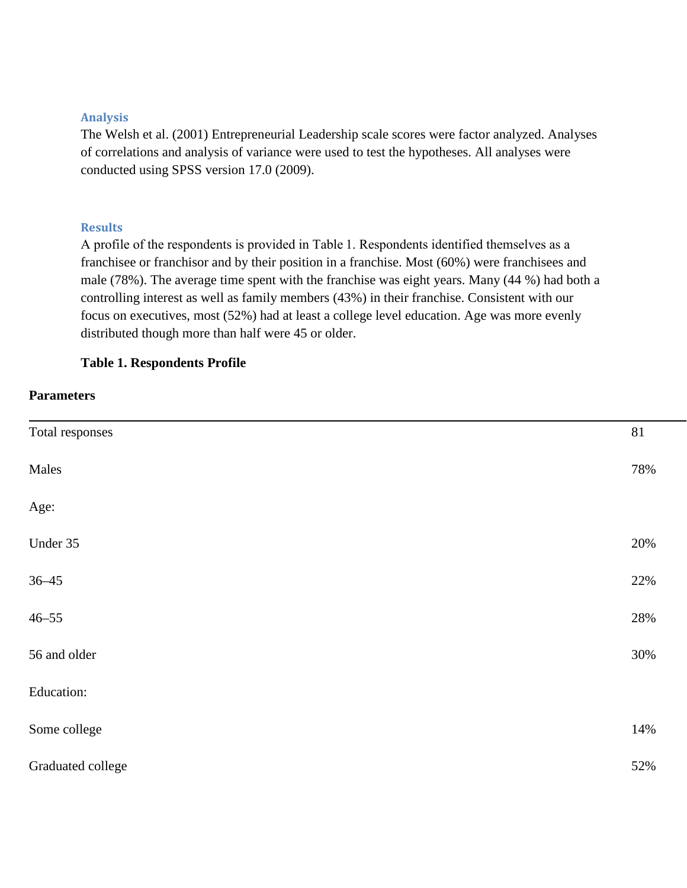# **Analysis**

The Welsh et al. (2001) Entrepreneurial Leadership scale scores were factor analyzed. Analyses of correlations and analysis of variance were used to test the hypotheses. All analyses were conducted using SPSS version 17.0 (2009).

### **Results**

A profile of the respondents is provided in Table 1. Respondents identified themselves as a franchisee or franchisor and by their position in a franchise. Most (60%) were franchisees and male (78%). The average time spent with the franchise was eight years. Many (44 %) had both a controlling interest as well as family members (43%) in their franchise. Consistent with our focus on executives, most (52%) had at least a college level education. Age was more evenly distributed though more than half were 45 or older.

### **Table 1. Respondents Profile**

### **Parameters**

| Total responses   | 81  |
|-------------------|-----|
| Males             | 78% |
| Age:              |     |
| Under 35          | 20% |
| $36 - 45$         | 22% |
| $46 - 55$         | 28% |
| 56 and older      | 30% |
| Education:        |     |
| Some college      | 14% |
| Graduated college | 52% |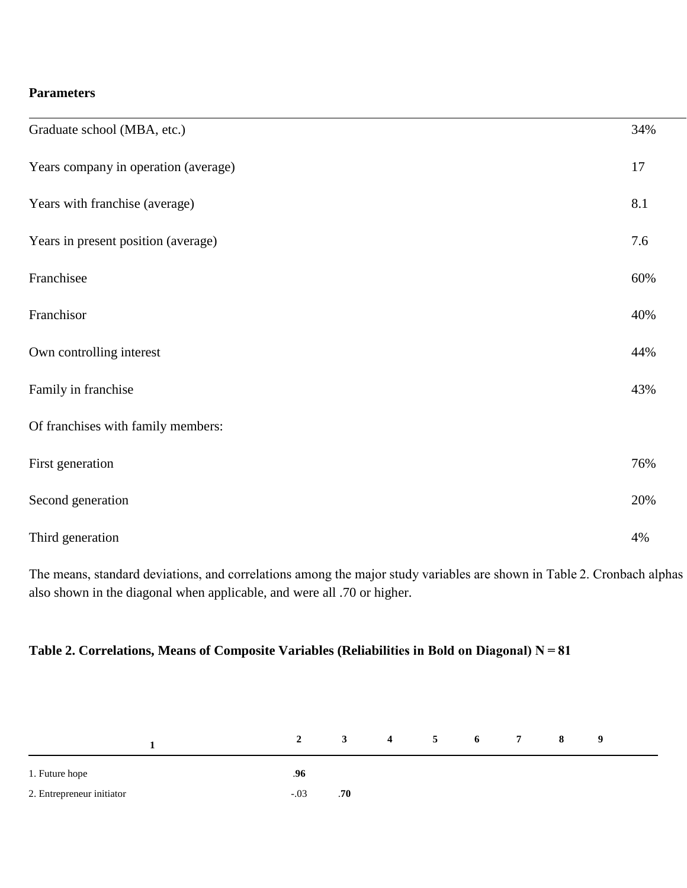# **Parameters**

| Graduate school (MBA, etc.)          | 34% |
|--------------------------------------|-----|
| Years company in operation (average) | 17  |
| Years with franchise (average)       | 8.1 |
| Years in present position (average)  | 7.6 |
| Franchisee                           | 60% |
| Franchisor                           | 40% |
| Own controlling interest             | 44% |
| Family in franchise                  | 43% |
| Of franchises with family members:   |     |
| First generation                     | 76% |
| Second generation                    | 20% |
| Third generation                     | 4%  |

The means, standard deviations, and correlations among the major study variables are shown in Table 2. Cronbach alphas also shown in the diagonal when applicable, and were all .70 or higher.

# **Table 2. Correlations, Means of Composite Variables (Reliabilities in Bold on Diagonal) N = 81**

|                           |        | $2 \qquad 3 \qquad 4 \qquad 5 \qquad 6 \qquad 7 \qquad 8$ |  |  | - 9 |
|---------------------------|--------|-----------------------------------------------------------|--|--|-----|
| 1. Future hope            | .96    |                                                           |  |  |     |
| 2. Entrepreneur initiator | $-.03$ | .70                                                       |  |  |     |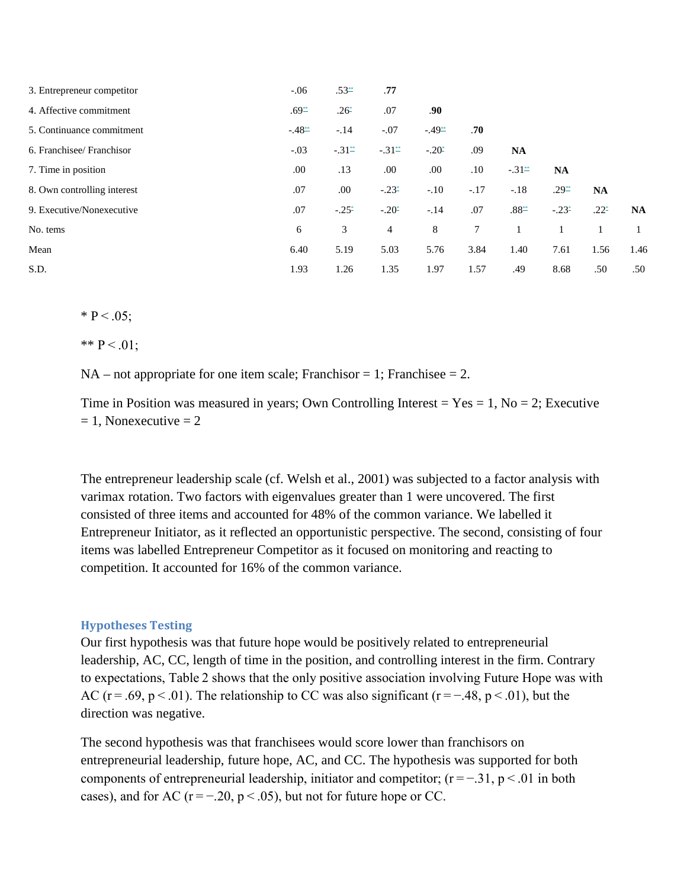| 3. Entrepreneur competitor  | $-.06$              | $.53^{**}$  | .77            |                     |        |             |            |           |           |
|-----------------------------|---------------------|-------------|----------------|---------------------|--------|-------------|------------|-----------|-----------|
| 4. Affective commitment     | $.69^{**}$          | $.26^*$     | .07            | .90                 |        |             |            |           |           |
| 5. Continuance commitment   | $-.48^{\circ\circ}$ | $-.14$      | $-.07$         | $-.49^{\circ\circ}$ | .70    |             |            |           |           |
| 6. Franchisee/ Franchisor   | $-.03$              | $-.31^{**}$ | $-.31^{**}$    | $-.20^{\circ}$      | .09    | <b>NA</b>   |            |           |           |
| 7. Time in position         | .00.                | .13         | .00.           | .00.                | .10    | $-.31^{**}$ | <b>NA</b>  |           |           |
| 8. Own controlling interest | .07                 | .00.        | $-.23^*$       | $-.10$              | $-.17$ | $-.18$      | $.29^{**}$ | <b>NA</b> |           |
| 9. Executive/Nonexecutive   | .07                 | $-.25^*$    | $-.20^*$       | $-.14$              | .07    | $.88^{**}$  | $-.23*$    | $.22^*$   | <b>NA</b> |
| No. tems                    | 6                   | 3           | $\overline{4}$ | 8                   | $\tau$ |             |            |           |           |
| Mean                        | 6.40                | 5.19        | 5.03           | 5.76                | 3.84   | 1.40        | 7.61       | 1.56      | 1.46      |
| S.D.                        | 1.93                | 1.26        | 1.35           | 1.97                | 1.57   | .49         | 8.68       | .50       | .50       |

 $*$  P < .05;

$$
**P<.01;
$$

 $NA$  – not appropriate for one item scale; Franchisor = 1; Franchisee = 2.

Time in Position was measured in years; Own Controlling Interest =  $Yes = 1$ ,  $No = 2$ ; Executive  $= 1$ , Nonexecutive  $= 2$ 

The entrepreneur leadership scale (cf. Welsh et al., 2001) was subjected to a factor analysis with varimax rotation. Two factors with eigenvalues greater than 1 were uncovered. The first consisted of three items and accounted for 48% of the common variance. We labelled it Entrepreneur Initiator, as it reflected an opportunistic perspective. The second, consisting of four items was labelled Entrepreneur Competitor as it focused on monitoring and reacting to competition. It accounted for 16% of the common variance.

## **Hypotheses Testing**

Our first hypothesis was that future hope would be positively related to entrepreneurial leadership, AC, CC, length of time in the position, and controlling interest in the firm. Contrary to expectations, Table 2 shows that the only positive association involving Future Hope was with AC ( $r = .69$ ,  $p < .01$ ). The relationship to CC was also significant ( $r = -.48$ ,  $p < .01$ ), but the direction was negative.

The second hypothesis was that franchisees would score lower than franchisors on entrepreneurial leadership, future hope, AC, and CC. The hypothesis was supported for both components of entrepreneurial leadership, initiator and competitor;  $(r = -31, p < .01$  in both cases), and for AC ( $r = -20$ ,  $p < 0.05$ ), but not for future hope or CC.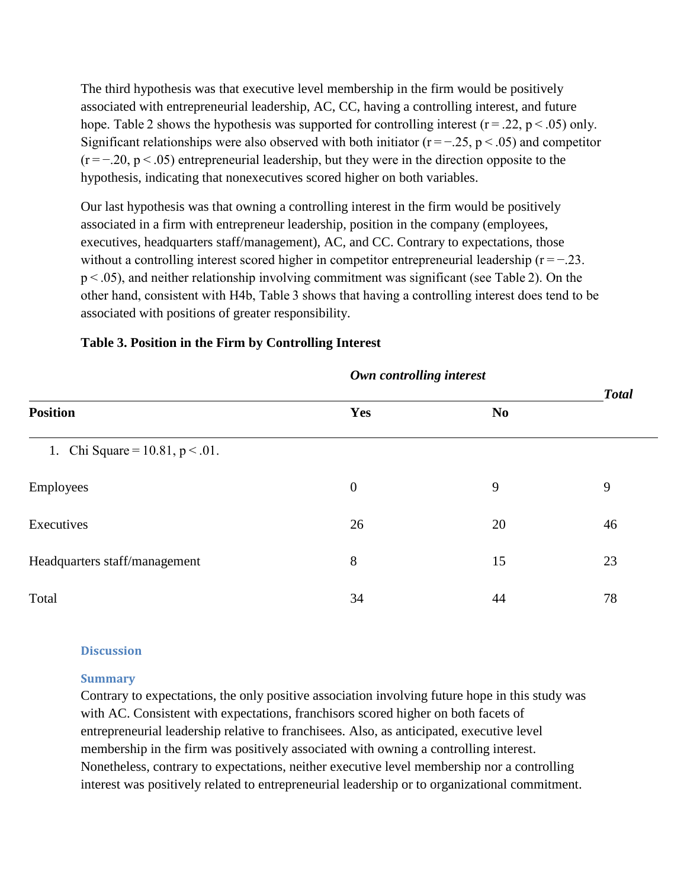The third hypothesis was that executive level membership in the firm would be positively associated with entrepreneurial leadership, AC, CC, having a controlling interest, and future hope. Table 2 shows the hypothesis was supported for controlling interest ( $r = .22$ ,  $p < .05$ ) only. Significant relationships were also observed with both initiator ( $r = -25$ ,  $p < .05$ ) and competitor  $(r = -20, p < 0.05)$  entrepreneurial leadership, but they were in the direction opposite to the hypothesis, indicating that nonexecutives scored higher on both variables.

Our last hypothesis was that owning a controlling interest in the firm would be positively associated in a firm with entrepreneur leadership, position in the company (employees, executives, headquarters staff/management), AC, and CC. Contrary to expectations, those without a controlling interest scored higher in competitor entrepreneurial leadership (r = −.23. p < .05), and neither relationship involving commitment was significant (see Table 2). On the other hand, consistent with H4b, Table 3 shows that having a controlling interest does tend to be associated with positions of greater responsibility.

*Own controlling interest*

|                                    | <i>Own controlling interest</i> | <b>Total</b>   |    |
|------------------------------------|---------------------------------|----------------|----|
| <b>Position</b>                    | Yes                             | N <sub>0</sub> |    |
| 1. Chi Square = $10.81$ , p < .01. |                                 |                |    |
| Employees                          | $\mathbf{0}$                    | 9              | 9  |
| Executives                         | 26                              | 20             | 46 |
| Headquarters staff/management      | 8                               | 15             | 23 |
| Total                              | 34                              | 44             | 78 |

# **Table 3. Position in the Firm by Controlling Interest**

### **Discussion**

### **Summary**

Contrary to expectations, the only positive association involving future hope in this study was with AC. Consistent with expectations, franchisors scored higher on both facets of entrepreneurial leadership relative to franchisees. Also, as anticipated, executive level membership in the firm was positively associated with owning a controlling interest. Nonetheless, contrary to expectations, neither executive level membership nor a controlling interest was positively related to entrepreneurial leadership or to organizational commitment.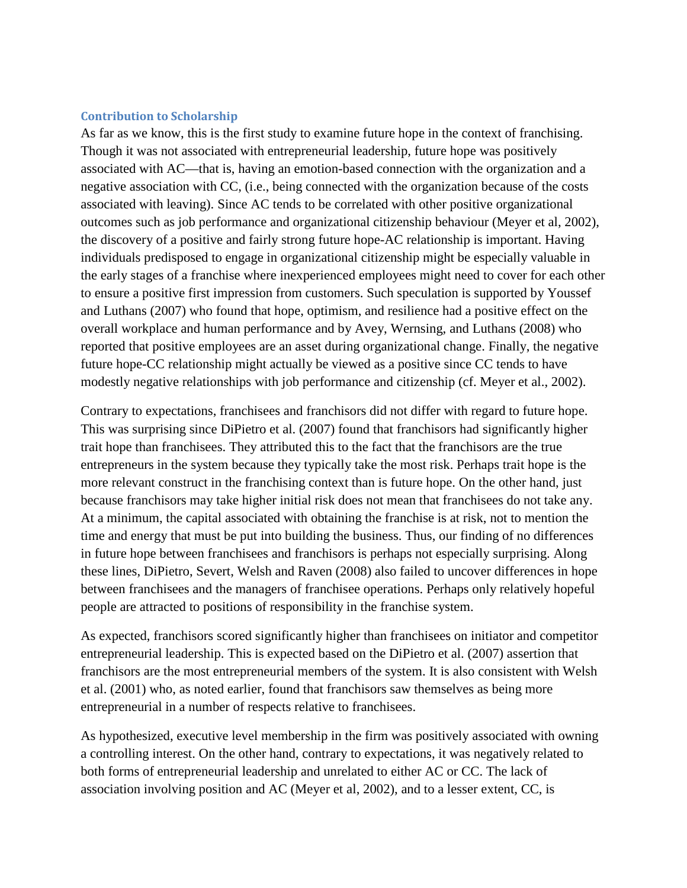### **Contribution to Scholarship**

As far as we know, this is the first study to examine future hope in the context of franchising. Though it was not associated with entrepreneurial leadership, future hope was positively associated with AC—that is, having an emotion-based connection with the organization and a negative association with CC, (i.e., being connected with the organization because of the costs associated with leaving). Since AC tends to be correlated with other positive organizational outcomes such as job performance and organizational citizenship behaviour (Meyer et al, 2002), the discovery of a positive and fairly strong future hope-AC relationship is important. Having individuals predisposed to engage in organizational citizenship might be especially valuable in the early stages of a franchise where inexperienced employees might need to cover for each other to ensure a positive first impression from customers. Such speculation is supported by Youssef and Luthans (2007) who found that hope, optimism, and resilience had a positive effect on the overall workplace and human performance and by Avey, Wernsing, and Luthans (2008) who reported that positive employees are an asset during organizational change. Finally, the negative future hope-CC relationship might actually be viewed as a positive since CC tends to have modestly negative relationships with job performance and citizenship (cf. Meyer et al., 2002).

Contrary to expectations, franchisees and franchisors did not differ with regard to future hope. This was surprising since DiPietro et al. (2007) found that franchisors had significantly higher trait hope than franchisees. They attributed this to the fact that the franchisors are the true entrepreneurs in the system because they typically take the most risk. Perhaps trait hope is the more relevant construct in the franchising context than is future hope. On the other hand, just because franchisors may take higher initial risk does not mean that franchisees do not take any. At a minimum, the capital associated with obtaining the franchise is at risk, not to mention the time and energy that must be put into building the business. Thus, our finding of no differences in future hope between franchisees and franchisors is perhaps not especially surprising. Along these lines, DiPietro, Severt, Welsh and Raven (2008) also failed to uncover differences in hope between franchisees and the managers of franchisee operations. Perhaps only relatively hopeful people are attracted to positions of responsibility in the franchise system.

As expected, franchisors scored significantly higher than franchisees on initiator and competitor entrepreneurial leadership. This is expected based on the DiPietro et al. (2007) assertion that franchisors are the most entrepreneurial members of the system. It is also consistent with Welsh et al. (2001) who, as noted earlier, found that franchisors saw themselves as being more entrepreneurial in a number of respects relative to franchisees.

As hypothesized, executive level membership in the firm was positively associated with owning a controlling interest. On the other hand, contrary to expectations, it was negatively related to both forms of entrepreneurial leadership and unrelated to either AC or CC. The lack of association involving position and AC (Meyer et al, 2002), and to a lesser extent, CC, is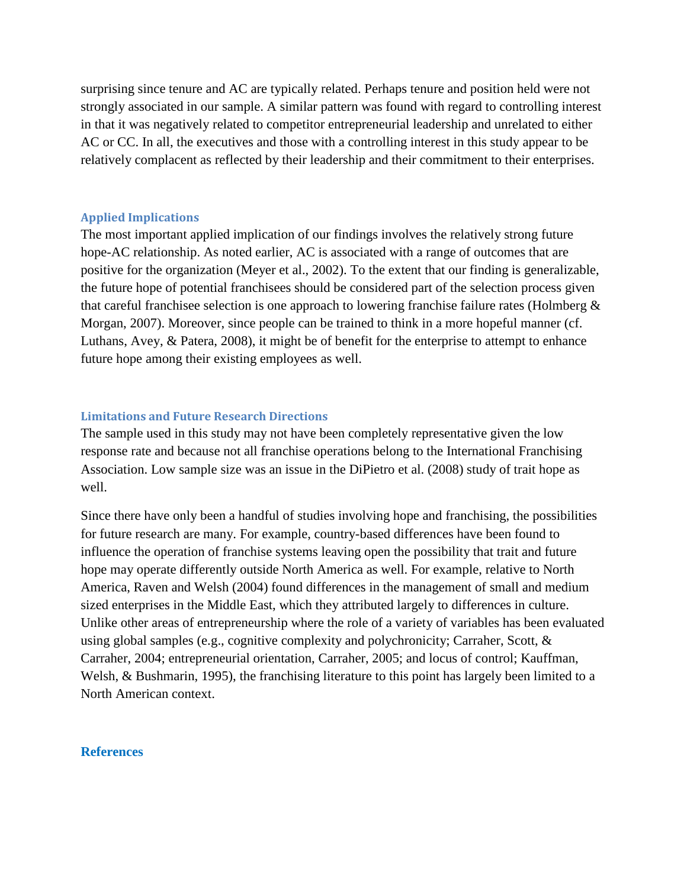surprising since tenure and AC are typically related. Perhaps tenure and position held were not strongly associated in our sample. A similar pattern was found with regard to controlling interest in that it was negatively related to competitor entrepreneurial leadership and unrelated to either AC or CC. In all, the executives and those with a controlling interest in this study appear to be relatively complacent as reflected by their leadership and their commitment to their enterprises.

### **Applied Implications**

The most important applied implication of our findings involves the relatively strong future hope-AC relationship. As noted earlier, AC is associated with a range of outcomes that are positive for the organization (Meyer et al., 2002). To the extent that our finding is generalizable, the future hope of potential franchisees should be considered part of the selection process given that careful franchisee selection is one approach to lowering franchise failure rates (Holmberg  $\&$ Morgan, 2007). Moreover, since people can be trained to think in a more hopeful manner (cf. Luthans, Avey, & Patera, 2008), it might be of benefit for the enterprise to attempt to enhance future hope among their existing employees as well.

### **Limitations and Future Research Directions**

The sample used in this study may not have been completely representative given the low response rate and because not all franchise operations belong to the International Franchising Association. Low sample size was an issue in the DiPietro et al. (2008) study of trait hope as well.

Since there have only been a handful of studies involving hope and franchising, the possibilities for future research are many. For example, country-based differences have been found to influence the operation of franchise systems leaving open the possibility that trait and future hope may operate differently outside North America as well. For example, relative to North America, Raven and Welsh (2004) found differences in the management of small and medium sized enterprises in the Middle East, which they attributed largely to differences in culture. Unlike other areas of entrepreneurship where the role of a variety of variables has been evaluated using global samples (e.g., cognitive complexity and polychronicity; Carraher, Scott, & Carraher, 2004; entrepreneurial orientation, Carraher, 2005; and locus of control; Kauffman, Welsh, & Bushmarin, 1995), the franchising literature to this point has largely been limited to a North American context.

### **References**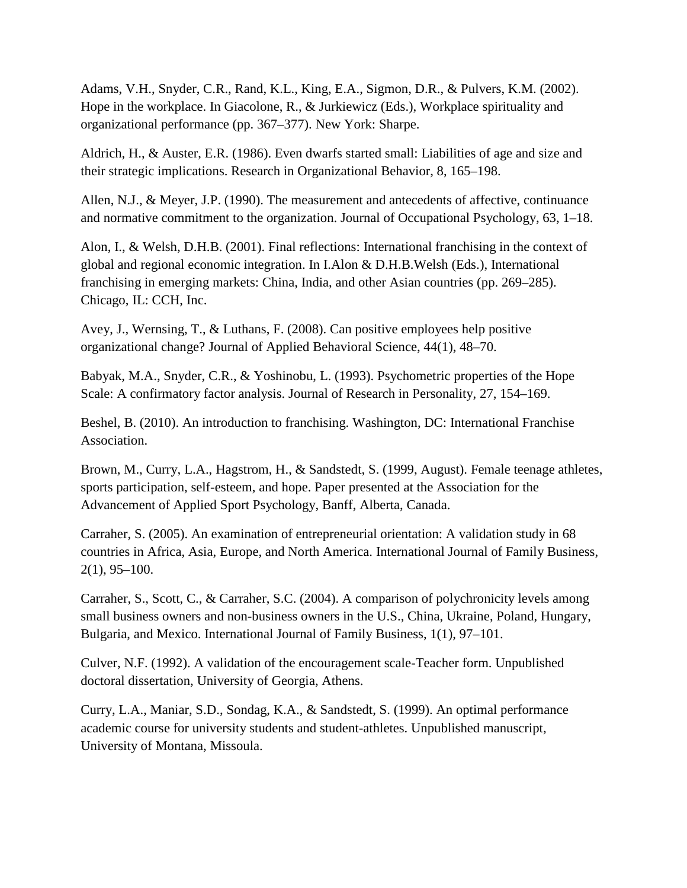Adams, V.H., Snyder, C.R., Rand, K.L., King, E.A., Sigmon, D.R., & Pulvers, K.M. (2002). Hope in the workplace. In Giacolone, R., & Jurkiewicz (Eds.), Workplace spirituality and organizational performance (pp. 367–377). New York: Sharpe.

Aldrich, H., & Auster, E.R. (1986). Even dwarfs started small: Liabilities of age and size and their strategic implications. Research in Organizational Behavior, 8, 165–198.

Allen, N.J., & Meyer, J.P. (1990). The measurement and antecedents of affective, continuance and normative commitment to the organization. Journal of Occupational Psychology, 63, 1–18.

Alon, I., & Welsh, D.H.B. (2001). Final reflections: International franchising in the context of global and regional economic integration. In I.Alon & D.H.B.Welsh (Eds.), International franchising in emerging markets: China, India, and other Asian countries (pp. 269–285). Chicago, IL: CCH, Inc.

Avey, J., Wernsing, T., & Luthans, F. (2008). Can positive employees help positive organizational change? Journal of Applied Behavioral Science, 44(1), 48–70.

Babyak, M.A., Snyder, C.R., & Yoshinobu, L. (1993). Psychometric properties of the Hope Scale: A confirmatory factor analysis. Journal of Research in Personality, 27, 154–169.

Beshel, B. (2010). An introduction to franchising. Washington, DC: International Franchise Association.

Brown, M., Curry, L.A., Hagstrom, H., & Sandstedt, S. (1999, August). Female teenage athletes, sports participation, self-esteem, and hope. Paper presented at the Association for the Advancement of Applied Sport Psychology, Banff, Alberta, Canada.

Carraher, S. (2005). An examination of entrepreneurial orientation: A validation study in 68 countries in Africa, Asia, Europe, and North America. International Journal of Family Business, 2(1), 95–100.

Carraher, S., Scott, C., & Carraher, S.C. (2004). A comparison of polychronicity levels among small business owners and non-business owners in the U.S., China, Ukraine, Poland, Hungary, Bulgaria, and Mexico. International Journal of Family Business, 1(1), 97–101.

Culver, N.F. (1992). A validation of the encouragement scale-Teacher form. Unpublished doctoral dissertation, University of Georgia, Athens.

Curry, L.A., Maniar, S.D., Sondag, K.A., & Sandstedt, S. (1999). An optimal performance academic course for university students and student-athletes. Unpublished manuscript, University of Montana, Missoula.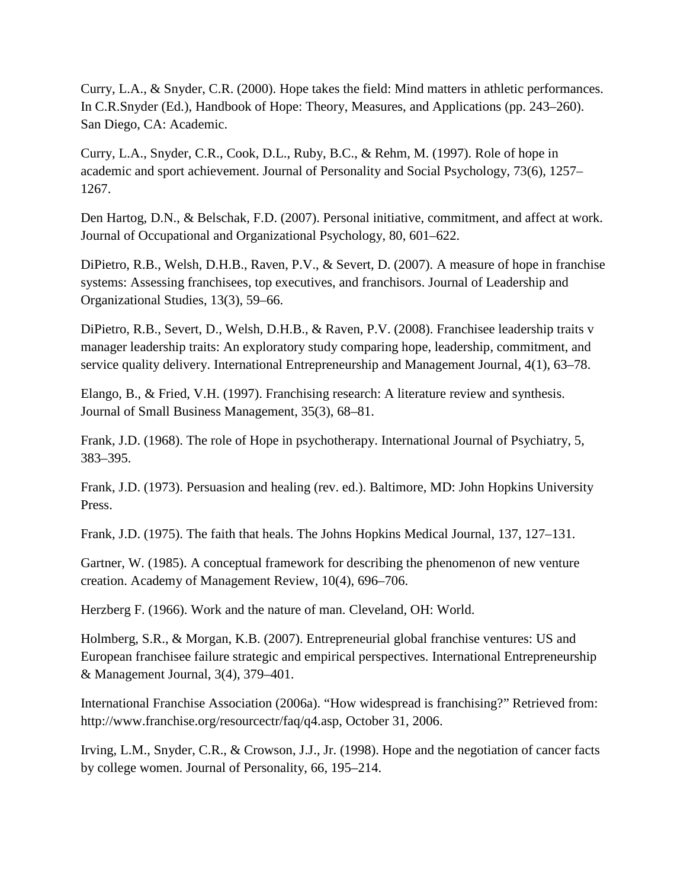Curry, L.A., & Snyder, C.R. (2000). Hope takes the field: Mind matters in athletic performances. In C.R.Snyder (Ed.), Handbook of Hope: Theory, Measures, and Applications (pp. 243–260). San Diego, CA: Academic.

Curry, L.A., Snyder, C.R., Cook, D.L., Ruby, B.C., & Rehm, M. (1997). Role of hope in academic and sport achievement. Journal of Personality and Social Psychology, 73(6), 1257– 1267.

Den Hartog, D.N., & Belschak, F.D. (2007). Personal initiative, commitment, and affect at work. Journal of Occupational and Organizational Psychology, 80, 601–622.

DiPietro, R.B., Welsh, D.H.B., Raven, P.V., & Severt, D. (2007). A measure of hope in franchise systems: Assessing franchisees, top executives, and franchisors. Journal of Leadership and Organizational Studies, 13(3), 59–66.

DiPietro, R.B., Severt, D., Welsh, D.H.B., & Raven, P.V. (2008). Franchisee leadership traits v manager leadership traits: An exploratory study comparing hope, leadership, commitment, and service quality delivery. International Entrepreneurship and Management Journal, 4(1), 63–78.

Elango, B., & Fried, V.H. (1997). Franchising research: A literature review and synthesis. Journal of Small Business Management, 35(3), 68–81.

Frank, J.D. (1968). The role of Hope in psychotherapy. International Journal of Psychiatry, 5, 383–395.

Frank, J.D. (1973). Persuasion and healing (rev. ed.). Baltimore, MD: John Hopkins University Press.

Frank, J.D. (1975). The faith that heals. The Johns Hopkins Medical Journal, 137, 127–131.

Gartner, W. (1985). A conceptual framework for describing the phenomenon of new venture creation. Academy of Management Review, 10(4), 696–706.

Herzberg F. (1966). Work and the nature of man. Cleveland, OH: World.

Holmberg, S.R., & Morgan, K.B. (2007). Entrepreneurial global franchise ventures: US and European franchisee failure strategic and empirical perspectives. International Entrepreneurship & Management Journal, 3(4), 379–401.

International Franchise Association (2006a). "How widespread is franchising?" Retrieved from: http://www.franchise.org/resourcectr/faq/q4.asp, October 31, 2006.

Irving, L.M., Snyder, C.R., & Crowson, J.J., Jr. (1998). Hope and the negotiation of cancer facts by college women. Journal of Personality, 66, 195–214.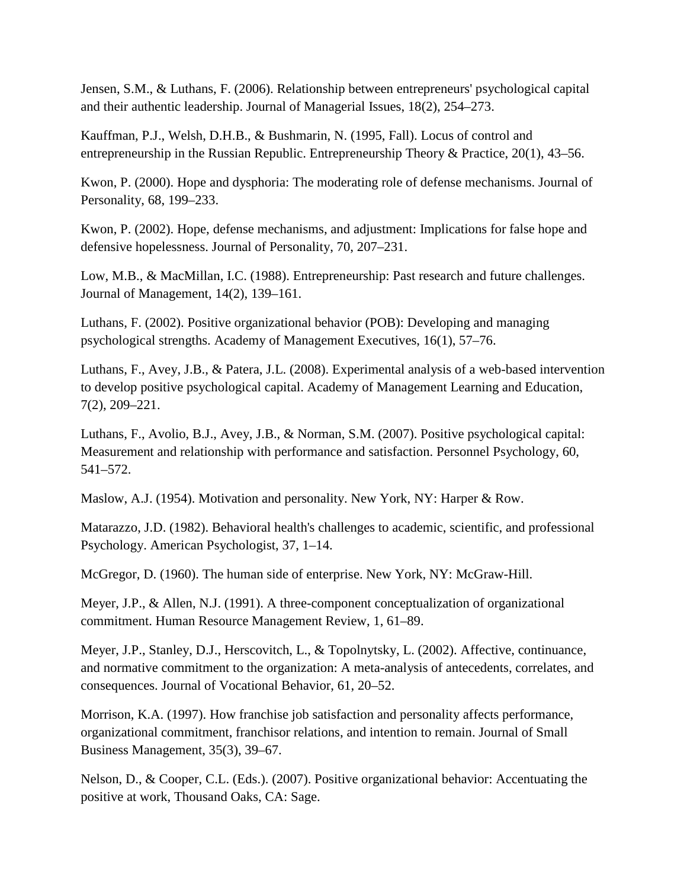Jensen, S.M., & Luthans, F. (2006). Relationship between entrepreneurs' psychological capital and their authentic leadership. Journal of Managerial Issues, 18(2), 254–273.

Kauffman, P.J., Welsh, D.H.B., & Bushmarin, N. (1995, Fall). Locus of control and entrepreneurship in the Russian Republic. Entrepreneurship Theory & Practice, 20(1), 43–56.

Kwon, P. (2000). Hope and dysphoria: The moderating role of defense mechanisms. Journal of Personality, 68, 199–233.

Kwon, P. (2002). Hope, defense mechanisms, and adjustment: Implications for false hope and defensive hopelessness. Journal of Personality, 70, 207–231.

Low, M.B., & MacMillan, I.C. (1988). Entrepreneurship: Past research and future challenges. Journal of Management, 14(2), 139–161.

Luthans, F. (2002). Positive organizational behavior (POB): Developing and managing psychological strengths. Academy of Management Executives, 16(1), 57–76.

Luthans, F., Avey, J.B., & Patera, J.L. (2008). Experimental analysis of a web-based intervention to develop positive psychological capital. Academy of Management Learning and Education, 7(2), 209–221.

Luthans, F., Avolio, B.J., Avey, J.B., & Norman, S.M. (2007). Positive psychological capital: Measurement and relationship with performance and satisfaction. Personnel Psychology, 60, 541–572.

Maslow, A.J. (1954). Motivation and personality. New York, NY: Harper & Row.

Matarazzo, J.D. (1982). Behavioral health's challenges to academic, scientific, and professional Psychology. American Psychologist, 37, 1–14.

McGregor, D. (1960). The human side of enterprise. New York, NY: McGraw-Hill.

Meyer, J.P., & Allen, N.J. (1991). A three-component conceptualization of organizational commitment. Human Resource Management Review, 1, 61–89.

Meyer, J.P., Stanley, D.J., Herscovitch, L., & Topolnytsky, L. (2002). Affective, continuance, and normative commitment to the organization: A meta-analysis of antecedents, correlates, and consequences. Journal of Vocational Behavior, 61, 20–52.

Morrison, K.A. (1997). How franchise job satisfaction and personality affects performance, organizational commitment, franchisor relations, and intention to remain. Journal of Small Business Management, 35(3), 39–67.

Nelson, D., & Cooper, C.L. (Eds.). (2007). Positive organizational behavior: Accentuating the positive at work, Thousand Oaks, CA: Sage.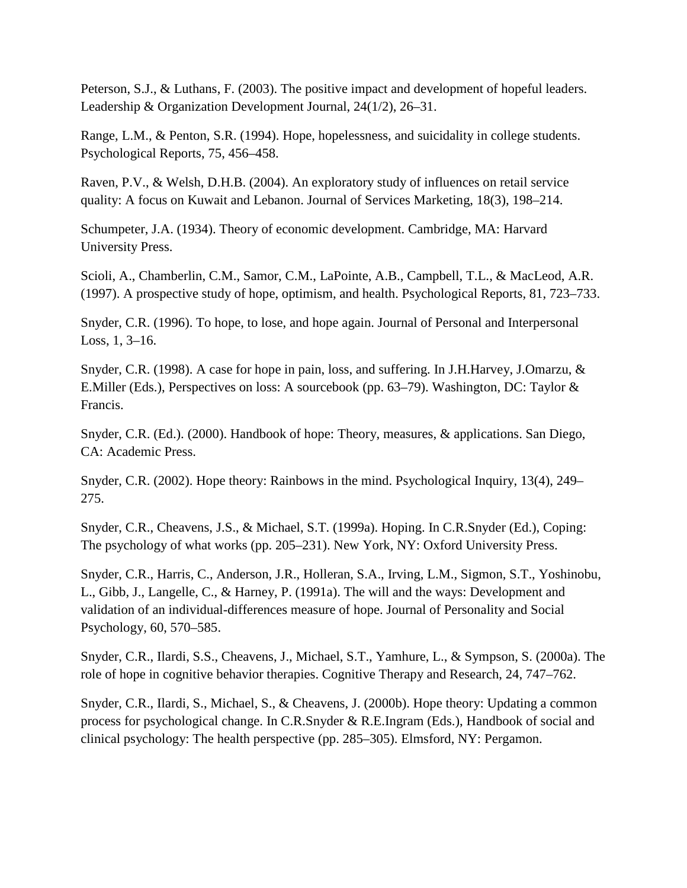Peterson, S.J., & Luthans, F. (2003). The positive impact and development of hopeful leaders. Leadership & Organization Development Journal, 24(1/2), 26–31.

Range, L.M., & Penton, S.R. (1994). Hope, hopelessness, and suicidality in college students. Psychological Reports, 75, 456–458.

Raven, P.V., & Welsh, D.H.B. (2004). An exploratory study of influences on retail service quality: A focus on Kuwait and Lebanon. Journal of Services Marketing, 18(3), 198–214.

Schumpeter, J.A. (1934). Theory of economic development. Cambridge, MA: Harvard University Press.

Scioli, A., Chamberlin, C.M., Samor, C.M., LaPointe, A.B., Campbell, T.L., & MacLeod, A.R. (1997). A prospective study of hope, optimism, and health. Psychological Reports, 81, 723–733.

Snyder, C.R. (1996). To hope, to lose, and hope again. Journal of Personal and Interpersonal Loss, 1, 3–16.

Snyder, C.R. (1998). A case for hope in pain, loss, and suffering. In J.H.Harvey, J.Omarzu, & E.Miller (Eds.), Perspectives on loss: A sourcebook (pp. 63–79). Washington, DC: Taylor & Francis.

Snyder, C.R. (Ed.). (2000). Handbook of hope: Theory, measures, & applications. San Diego, CA: Academic Press.

Snyder, C.R. (2002). Hope theory: Rainbows in the mind. Psychological Inquiry, 13(4), 249– 275.

Snyder, C.R., Cheavens, J.S., & Michael, S.T. (1999a). Hoping. In C.R.Snyder (Ed.), Coping: The psychology of what works (pp. 205–231). New York, NY: Oxford University Press.

Snyder, C.R., Harris, C., Anderson, J.R., Holleran, S.A., Irving, L.M., Sigmon, S.T., Yoshinobu, L., Gibb, J., Langelle, C., & Harney, P. (1991a). The will and the ways: Development and validation of an individual-differences measure of hope. Journal of Personality and Social Psychology, 60, 570–585.

Snyder, C.R., Ilardi, S.S., Cheavens, J., Michael, S.T., Yamhure, L., & Sympson, S. (2000a). The role of hope in cognitive behavior therapies. Cognitive Therapy and Research, 24, 747–762.

Snyder, C.R., Ilardi, S., Michael, S., & Cheavens, J. (2000b). Hope theory: Updating a common process for psychological change. In C.R.Snyder & R.E.Ingram (Eds.), Handbook of social and clinical psychology: The health perspective (pp. 285–305). Elmsford, NY: Pergamon.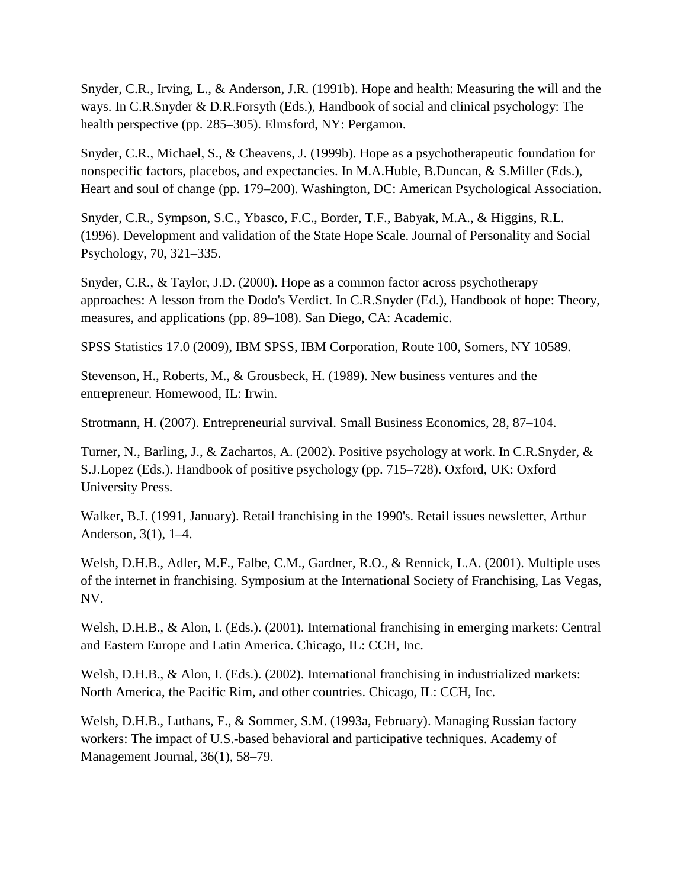Snyder, C.R., Irving, L., & Anderson, J.R. (1991b). Hope and health: Measuring the will and the ways. In C.R.Snyder & D.R.Forsyth (Eds.), Handbook of social and clinical psychology: The health perspective (pp. 285–305). Elmsford, NY: Pergamon.

Snyder, C.R., Michael, S., & Cheavens, J. (1999b). Hope as a psychotherapeutic foundation for nonspecific factors, placebos, and expectancies. In M.A.Huble, B.Duncan, & S.Miller (Eds.), Heart and soul of change (pp. 179–200). Washington, DC: American Psychological Association.

Snyder, C.R., Sympson, S.C., Ybasco, F.C., Border, T.F., Babyak, M.A., & Higgins, R.L. (1996). Development and validation of the State Hope Scale. Journal of Personality and Social Psychology, 70, 321–335.

Snyder, C.R., & Taylor, J.D. (2000). Hope as a common factor across psychotherapy approaches: A lesson from the Dodo's Verdict. In C.R.Snyder (Ed.), Handbook of hope: Theory, measures, and applications (pp. 89–108). San Diego, CA: Academic.

SPSS Statistics 17.0 (2009), IBM SPSS, IBM Corporation, Route 100, Somers, NY 10589.

Stevenson, H., Roberts, M., & Grousbeck, H. (1989). New business ventures and the entrepreneur. Homewood, IL: Irwin.

Strotmann, H. (2007). Entrepreneurial survival. Small Business Economics, 28, 87–104.

Turner, N., Barling, J., & Zachartos, A. (2002). Positive psychology at work. In C.R.Snyder, & S.J.Lopez (Eds.). Handbook of positive psychology (pp. 715–728). Oxford, UK: Oxford University Press.

Walker, B.J. (1991, January). Retail franchising in the 1990's. Retail issues newsletter, Arthur Anderson, 3(1), 1–4.

Welsh, D.H.B., Adler, M.F., Falbe, C.M., Gardner, R.O., & Rennick, L.A. (2001). Multiple uses of the internet in franchising. Symposium at the International Society of Franchising, Las Vegas, NV.

Welsh, D.H.B., & Alon, I. (Eds.). (2001). International franchising in emerging markets: Central and Eastern Europe and Latin America. Chicago, IL: CCH, Inc.

Welsh, D.H.B., & Alon, I. (Eds.). (2002). International franchising in industrialized markets: North America, the Pacific Rim, and other countries. Chicago, IL: CCH, Inc.

Welsh, D.H.B., Luthans, F., & Sommer, S.M. (1993a, February). Managing Russian factory workers: The impact of U.S.-based behavioral and participative techniques. Academy of Management Journal, 36(1), 58–79.